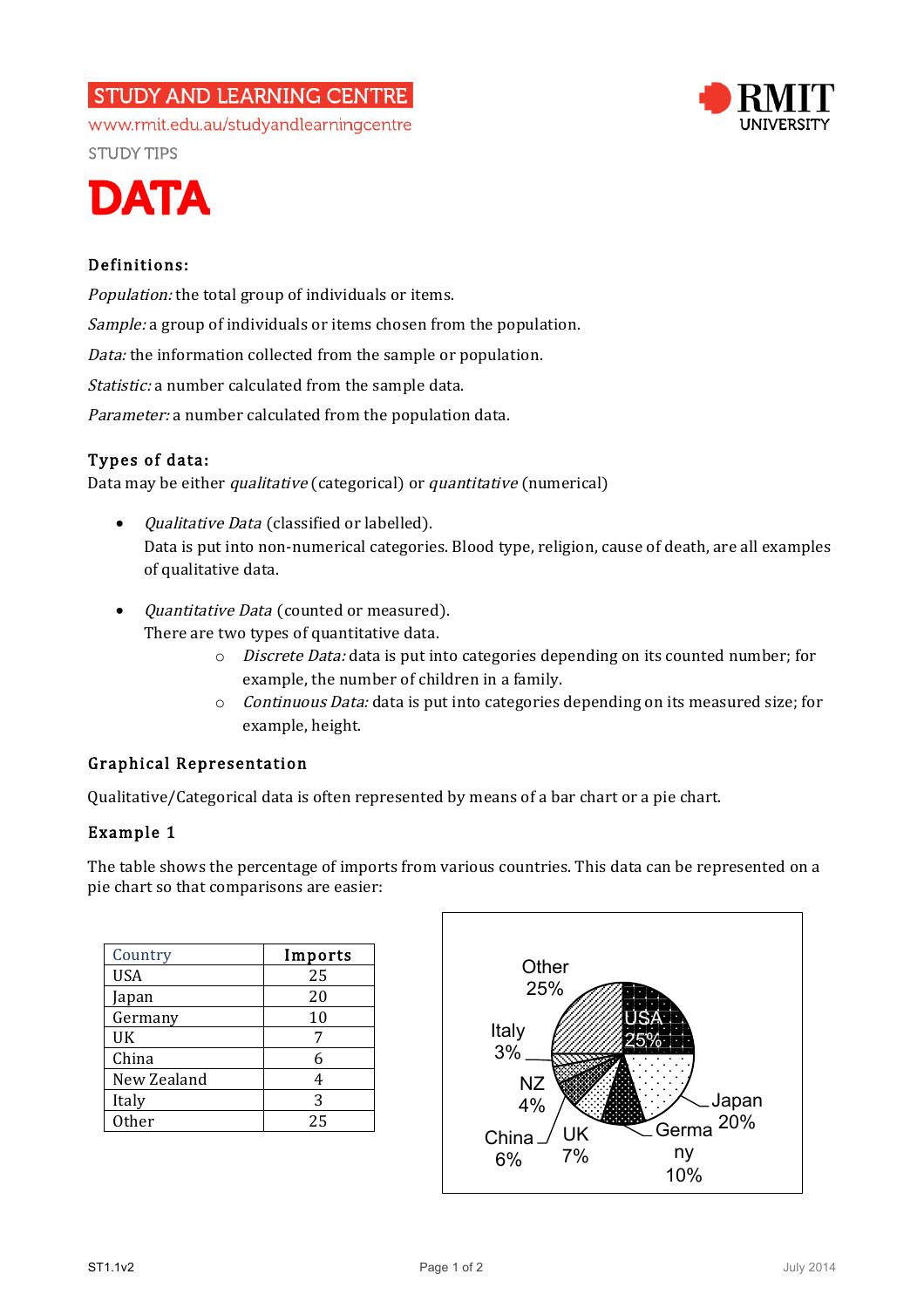# **STUDY AND LEARNING CENTRE**



www.rmit.edu.au/studyandlearningcentre **STUDY TIPS** 



## Definitions:

Population: the total group of individuals or items. Sample: a group of individuals or items chosen from the population. Data: the information collected from the sample or population. Statistic: a number calculated from the sample data. Parameter: a number calculated from the population data.

## Types of data:

Data may be either *qualitative* (categorical) or *quantitative* (numerical)

- *Qualitative Data* (classified or labelled). Data is put into non-numerical categories. Blood type, religion, cause of death, are all examples of qualitative data.
- *Quantitative Data* (counted or measured). There are two types of quantitative data.
	- o Discrete Data: data is put into categories depending on its counted number; for example, the number of children in a family.
	- $\circ$  *Continuous Data:* data is put into categories depending on its measured size; for example, height.

## Graphical Representation

Qualitative/Categorical data is often represented by means of a bar chart or a pie chart.

### Example 1

The table shows the percentage of imports from various countries. This data can be represented on a pie chart so that comparisons are easier:

| Country     | Imports |
|-------------|---------|
| <b>USA</b>  | 25      |
| Japan       | 20      |
| Germany     | 10      |
| UK          |         |
| China       | 6       |
| New Zealand |         |
| Italy       | 3       |
| Other       | 25      |